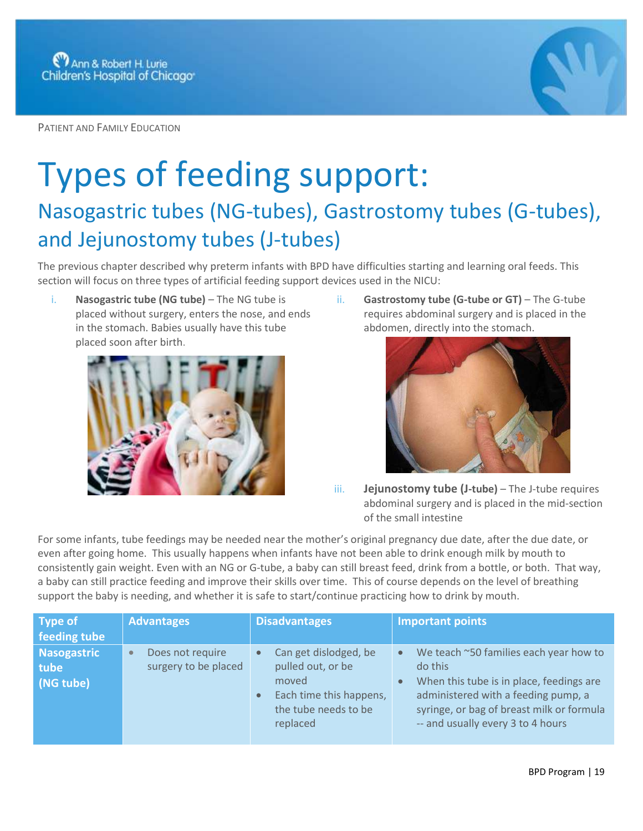

PATIENT AND FAMILY EDUCATION

## Types of feeding support:

## Nasogastric tubes (NG-tubes), Gastrostomy tubes (G-tubes), and Jejunostomy tubes (J-tubes)

The previous chapter described why preterm infants with BPD have difficulties starting and learning oral feeds. This section will focus on three types of artificial feeding support devices used in the NICU:

i. **Nasogastric tube (NG tube)** – The NG tube is placed without surgery, enters the nose, and ends in the stomach. Babies usually have this tube placed soon after birth.



ii. **Gastrostomy tube (G-tube or GT)** – The G-tube requires abdominal surgery and is placed in the abdomen, directly into the stomach.



iii. **Jejunostomy tube (J-tube)** – The J-tube requires abdominal surgery and is placed in the mid-section of the small intestine

For some infants, tube feedings may be needed near the mother's original pregnancy due date, after the due date, or even after going home. This usually happens when infants have not been able to drink enough milk by mouth to consistently gain weight. Even with an NG or G-tube, a baby can still breast feed, drink from a bottle, or both. That way, a baby can still practice feeding and improve their skills over time. This of course depends on the level of breathing support the baby is needing, and whether it is safe to start/continue practicing how to drink by mouth.

| <b>Type of</b><br>feeding tube          | <b>Advantages</b>                                     | <b>Disadvantages</b>                                                                                               | <b>Important points</b>                                                                                                                                                                                                                          |
|-----------------------------------------|-------------------------------------------------------|--------------------------------------------------------------------------------------------------------------------|--------------------------------------------------------------------------------------------------------------------------------------------------------------------------------------------------------------------------------------------------|
| <b>Nasogastric</b><br>tube<br>(NG tube) | Does not require<br>$\bullet$<br>surgery to be placed | Can get dislodged, be<br>pulled out, or be<br>moved<br>Each time this happens,<br>the tube needs to be<br>replaced | We teach ~50 families each year how to<br>$\bullet$<br>do this<br>When this tube is in place, feedings are<br>$\bullet$<br>administered with a feeding pump, a<br>syringe, or bag of breast milk or formula<br>-- and usually every 3 to 4 hours |